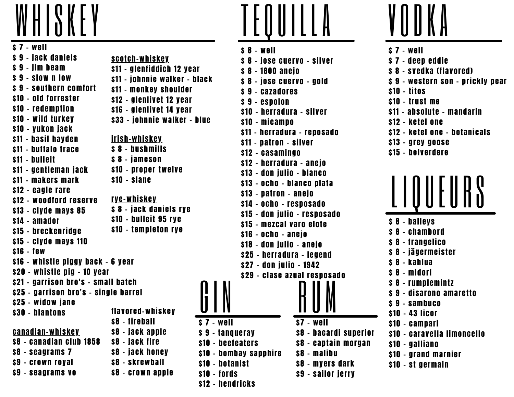

\$ 7 - well \$ 9 - jack daniels \$ 9 - jim beam \$ 9 - slow n low \$ 9 - southern comfort \$10 - old forrester \$10 - redemption \$10 - wild turkey \$10 - yukon jack \$11 - basil hayden \$11 - buffalo trace \$11 - bulleit \$11 - gentleman jack \$11 - makers mark \$12 - eagle rare \$12 - woodford reserve \$13 - clyde mays 85 \$14 - amador \$15 - breckenridge \$15 - clyde mays 110 \$16 - few \$16 - whistle piggy back – 6 year \$20 - whistle pig – 10 year \$21 - garrison bro's – small batch \$25 - garrison bro's – single barrel \$25 - widow jane \$30 - blantons irish-whiskey \$ 8 - bushmills \$ 8 - jameson \$10 - proper twelve \$10 - slane scotch-whiskey \$11 - glenfiddich 12 year \$11 - johnnie walker - black \$11 - monkey shoulder \$12 - glenlivet 12 year \$16 - glenlivet 14 year \$33 - johnnie walker - blue flavored-whiskey \$8 - fireball \$8 - jack apple \$8 - jack fire \$8 - jack honey \$8 - skrewball \$8 - crown apple canadian-whiskey \$8 - canadian club 1858 \$8 - seagrams 7 \$9 - crown royal \$9 - seagrams vo rye-whiskey \$ 8 - jack daniels rye \$10 - bulleit 95 rye \$10 - templeton rye



- \$ 8 jose cuervo gold
- \$ 9 cazadores
- \$ 9 espolon \$10 - herradura – silver \$10 - micampo
- \$11 herradura reposado
- \$11 patron silver \$12 - casamingo
- \$12 herradura anejo \$13 - don julio – blanco
- \$13 ocho blanco plata \$13 - patron – anejo \$14 - ocho - resposado \$15 - don julio – resposado
- \$15 mezcal varo elote \$16 - ocho - anejo \$18 - don julio – anejo \$25 - herradura – legend
- \$27 don julio 1942 \$29 - clase azual resposado

\$7 - well

RUM

\$8 - malibu

\$8 - myers dark \$9 - sailor jerry

\$8 - bacardi superior \$8 - captain morgan



- \$ 7 well
- \$ 9 tanqueray
- \$10 beefeaters
- \$10 bombay sapphire
- \$10 botanist
- \$10 fords
- \$12 hendricks



- \$ 7 well \$ 7 - deep eddie \$ 8 - svedka (flavored) \$9 - western son - prickly pear \$10 - titos \$10 - trust me \$11 - absolute – mandarin \$12 - ketel one \$12 - ketel one – botanicals \$13 - grey goose \$15 - belverdere
- L IQUEURS
- \$ 8 baileys
- \$ 8 chambord
- \$ 8 frangelico
- \$ 8 jägermeister
- \$ 8 kahlua
- \$ 8 midori
- \$ 8 rumplemintz
- \$ 9 disarono amaretto
- \$ 9 sambuco
- \$10 43 licor
- \$10 campari
- \$10 caravella limoncello
- \$10 galliano
- \$10 grand marnier
- \$10 st germain